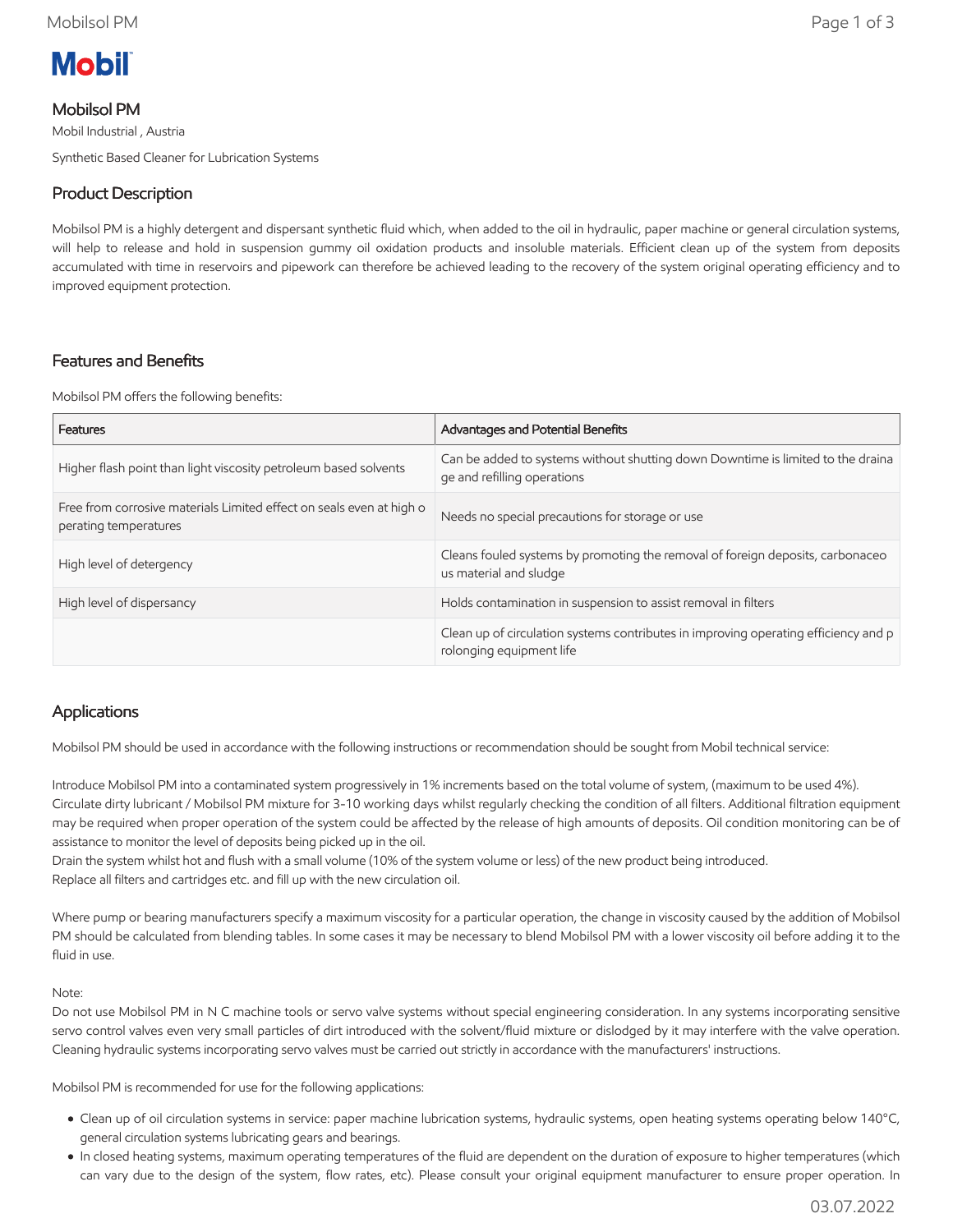

## Mobilsol PM

Mobil Industrial , Austria Synthetic Based Cleaner for Lubrication Systems

# Product Description

Mobilsol PM is a highly detergent and dispersant synthetic fluid which, when added to the oil in hydraulic, paper machine or general circulation systems, will help to release and hold in suspension gummy oil oxidation products and insoluble materials. Efficient clean up of the system from deposits accumulated with time in reservoirs and pipework can therefore be achieved leading to the recovery of the system original operating efficiency and to improved equipment protection.

## Features and Benefits

Mobilsol PM offers the following benefits:

| Features                                                                                      | Advantages and Potential Benefits                                                                               |
|-----------------------------------------------------------------------------------------------|-----------------------------------------------------------------------------------------------------------------|
| Higher flash point than light viscosity petroleum based solvents                              | Can be added to systems without shutting down Downtime is limited to the draina<br>ge and refilling operations  |
| Free from corrosive materials Limited effect on seals even at high o<br>perating temperatures | Needs no special precautions for storage or use                                                                 |
| High level of detergency                                                                      | Cleans fouled systems by promoting the removal of foreign deposits, carbonaceo<br>us material and sludge        |
| High level of dispersancy                                                                     | Holds contamination in suspension to assist removal in filters                                                  |
|                                                                                               | Clean up of circulation systems contributes in improving operating efficiency and p<br>rolonging equipment life |

## Applications

Mobilsol PM should be used in accordance with the following instructions or recommendation should be sought from Mobil technical service:

Introduce Mobilsol PM into a contaminated system progressively in 1% increments based on the total volume of system, (maximum to be used 4%). Circulate dirty lubricant / Mobilsol PM mixture for 3-10 working days whilst regularly checking the condition of all filters. Additional filtration equipment may be required when proper operation of the system could be affected by the release of high amounts of deposits. Oil condition monitoring can be of assistance to monitor the level of deposits being picked up in the oil.

Drain the system whilst hot and flush with a small volume (10% of the system volume or less) of the new product being introduced. Replace all filters and cartridges etc. and fill up with the new circulation oil.

Where pump or bearing manufacturers specify a maximum viscosity for a particular operation, the change in viscosity caused by the addition of Mobilsol PM should be calculated from blending tables. In some cases it may be necessary to blend Mobilsol PM with a lower viscosity oil before adding it to the fluid in use.

#### Note:

Do not use Mobilsol PM in N C machine tools or servo valve systems without special engineering consideration. In any systems incorporating sensitive servo control valves even very small particles of dirt introduced with the solvent/fluid mixture or dislodged by it may interfere with the valve operation. Cleaning hydraulic systems incorporating servo valves must be carried out strictly in accordance with the manufacturers' instructions.

Mobilsol PM is recommended for use for the following applications:

- Clean up of oil circulation systems in service: paper machine lubrication systems, hydraulic systems, open heating systems operating below 140°C, general circulation systems lubricating gears and bearings.
- In closed heating systems, maximum operating temperatures of the fluid are dependent on the duration of exposure to higher temperatures (which can vary due to the design of the system, flow rates, etc). Please consult your original equipment manufacturer to ensure proper operation. In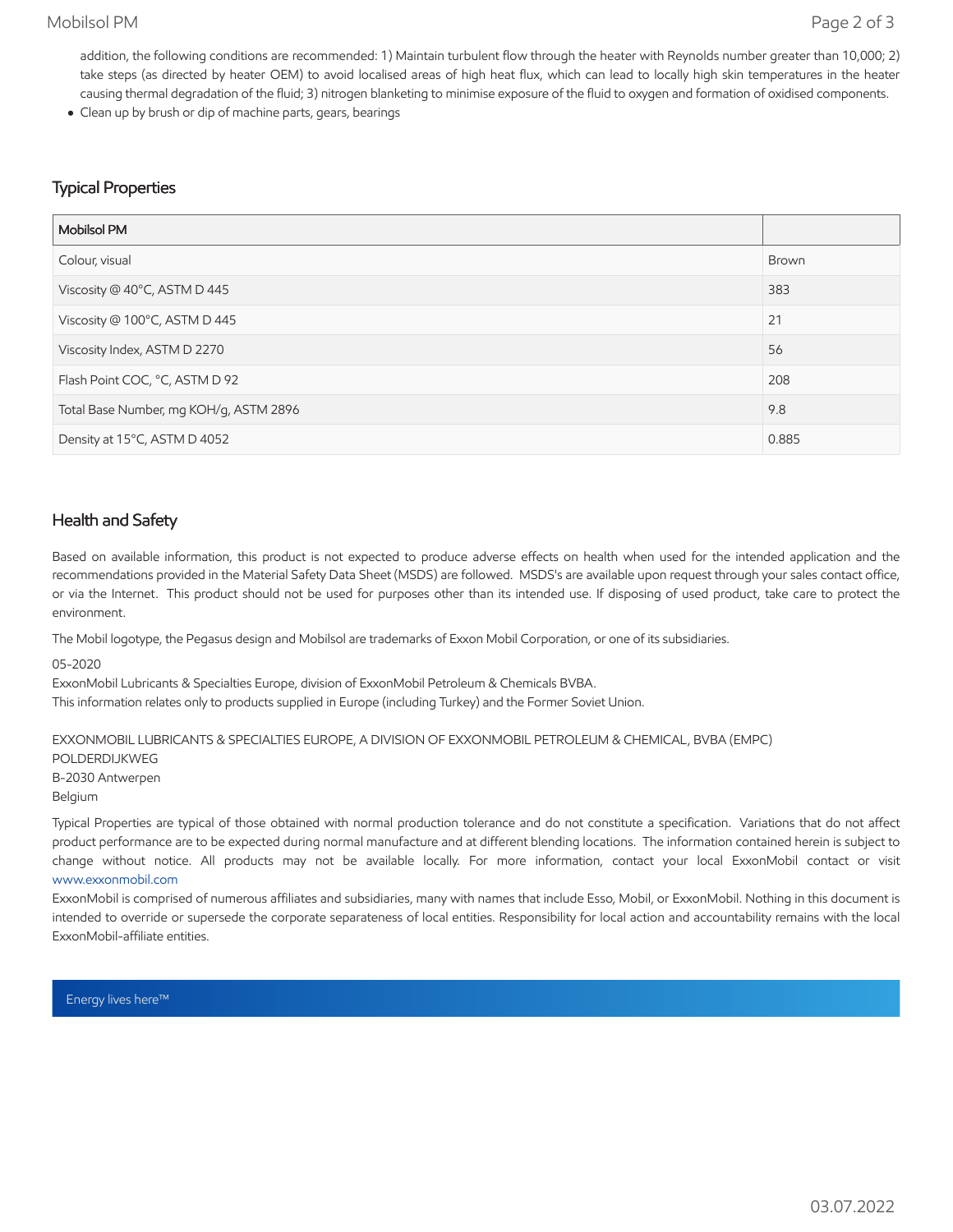### Mobilsol PM Page 2 of 3

addition, the following conditions are recommended: 1) Maintain turbulent flow through the heater with Reynolds number greater than 10,000; 2) take steps (as directed by heater OEM) to avoid localised areas of high heat flux, which can lead to locally high skin temperatures in the heater causing thermal degradation of the fluid; 3) nitrogen blanketing to minimise exposure of the fluid to oxygen and formation of oxidised components.

Clean up by brush or dip of machine parts, gears, bearings

## Typical Properties

| <b>Mobilsol PM</b>                     |       |
|----------------------------------------|-------|
| Colour, visual                         | Brown |
| Viscosity @ 40°C, ASTM D 445           | 383   |
| Viscosity @ 100°C, ASTM D 445          | 21    |
| Viscosity Index, ASTM D 2270           | 56    |
| Flash Point COC, °C, ASTM D 92         | 208   |
| Total Base Number, mg KOH/g, ASTM 2896 | 9.8   |
| Density at 15°C, ASTM D 4052           | 0.885 |

### Health and Safety

Based on available information, this product is not expected to produce adverse effects on health when used for the intended application and the recommendations provided in the Material Safety Data Sheet (MSDS) are followed. MSDS's are available upon request through your sales contact office, or via the Internet. This product should not be used for purposes other than its intended use. If disposing of used product, take care to protect the environment.

The Mobil logotype, the Pegasus design and Mobilsol are trademarks of Exxon Mobil Corporation, or one of its subsidiaries.

05-2020

ExxonMobil Lubricants & Specialties Europe, division of ExxonMobil Petroleum & Chemicals BVBA.

This information relates only to products supplied in Europe (including Turkey) and the Former Soviet Union.

EXXONMOBIL LUBRICANTS & SPECIALTIES EUROPE, A DIVISION OF EXXONMOBIL PETROLEUM & CHEMICAL, BVBA (EMPC)

POLDERDIJKWEG

B-2030 Antwerpen

Belgium

Typical Properties are typical of those obtained with normal production tolerance and do not constitute a specification. Variations that do not affect product performance are to be expected during normal manufacture and at different blending locations. The information contained herein is subject to change without notice. All products may not be available locally. For more information, contact your local ExxonMobil contact or visit [www.exxonmobil.com](http://www.exxonmobil.com/)

ExxonMobil is comprised of numerous affiliates and subsidiaries, many with names that include Esso, Mobil, or ExxonMobil. Nothing in this document is intended to override or supersede the corporate separateness of local entities. Responsibility for local action and accountability remains with the local ExxonMobil-affiliate entities.

Energy lives here™